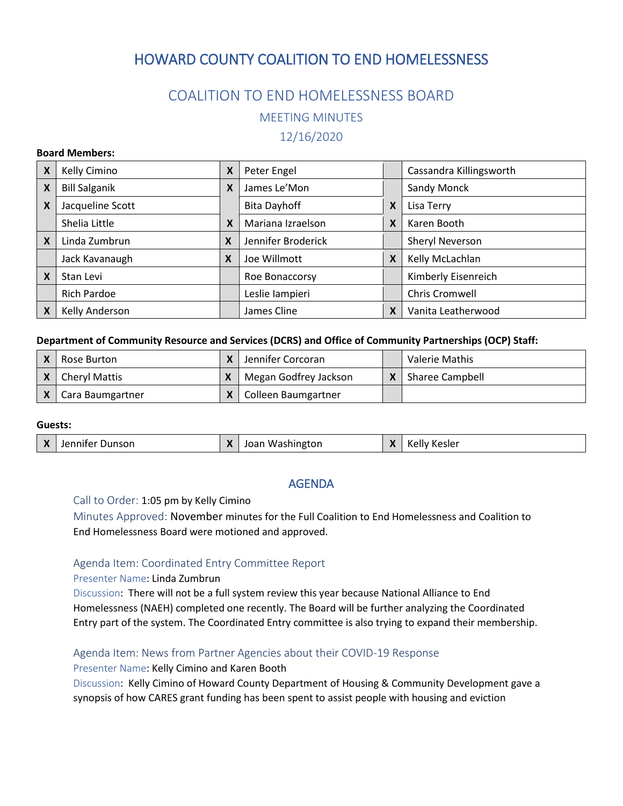# HOWARD COUNTY COALITION TO END HOMELESSNESS

# COALITION TO END HOMELESSNESS BOARD MEETING MINUTES 12/16/2020

#### **Board Members:**

| X | Kelly Cimino         | X | Peter Engel         |   | Cassandra Killingsworth |
|---|----------------------|---|---------------------|---|-------------------------|
| X | <b>Bill Salganik</b> | X | James Le'Mon        |   | Sandy Monck             |
| X | Jacqueline Scott     |   | <b>Bita Dayhoff</b> | X | Lisa Terry              |
|   | Shelia Little        | X | Mariana Izraelson   | X | Karen Booth             |
| X | Linda Zumbrun        | X | Jennifer Broderick  |   | Sheryl Neverson         |
|   | Jack Kavanaugh       | X | Joe Willmott        | X | Kelly McLachlan         |
| X | Stan Levi            |   | Roe Bonaccorsy      |   | Kimberly Eisenreich     |
|   | <b>Rich Pardoe</b>   |   | Leslie lampieri     |   | Chris Cromwell          |
|   | Kelly Anderson       |   | James Cline         | X | Vanita Leatherwood      |

#### **Department of Community Resource and Services (DCRS) and Office of Community Partnerships (OCP) Staff:**

| Rose Burton               | X | Jennifer Corcoran     | Valerie Mathis  |
|---------------------------|---|-----------------------|-----------------|
| <b>Cheryl Mattis</b>      |   | Megan Godfrey Jackson | Sharee Campbell |
| $X \mid$ Cara Baumgartner |   | Colleen Baumgartner   |                 |

### **Guests:**

| - -<br>X<br>Jennifer Dunson<br><b>Kesler</b><br>ioan<br>was<br>isni<br>'ngtor.<br>$\lambda$<br>$\mathbf{H}$ |  |
|-------------------------------------------------------------------------------------------------------------|--|
|-------------------------------------------------------------------------------------------------------------|--|

## AGENDA

Call to Order: 1:05 pm by Kelly Cimino

Minutes Approved: November minutes for the Full Coalition to End Homelessness and Coalition to End Homelessness Board were motioned and approved.

### Agenda Item: Coordinated Entry Committee Report

Presenter Name: Linda Zumbrun

Discussion: There will not be a full system review this year because National Alliance to End Homelessness (NAEH) completed one recently. The Board will be further analyzing the Coordinated Entry part of the system. The Coordinated Entry committee is also trying to expand their membership.

### Agenda Item: News from Partner Agencies about their COVID-19 Response

Presenter Name: Kelly Cimino and Karen Booth

Discussion: Kelly Cimino of Howard County Department of Housing & Community Development gave a synopsis of how CARES grant funding has been spent to assist people with housing and eviction